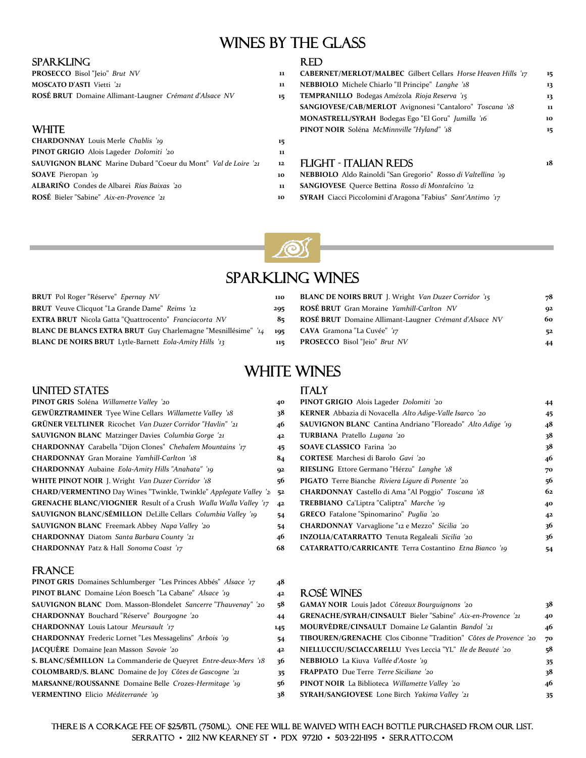### ŗ. WINES BY THE GLASS

### SPARKLING RED

| <b>PROSECCO</b> Bisol "Jeio" Brut NV                   |  |
|--------------------------------------------------------|--|
| <b>MOSCATO D'ASTI</b> Vietti '21                       |  |
| ROSÉ BRUT Domaine Allimant-Laugner Crémant d'Alsace NV |  |

| 11 |
|----|
| 12 |
| 10 |
| 11 |
| 10 |
|    |

| PROSECCO Bisol "Jeio" Brut NV                                         | 11 | CABERNET/MERLOT/MALBEC Gilbert Cellars Horse Heaven Hills '17   | 15               |
|-----------------------------------------------------------------------|----|-----------------------------------------------------------------|------------------|
| <b>MOSCATO D'ASTI</b> Vietti '21                                      | 11 | NEBBIOLO Michele Chiarlo "Il Principe" Langhe '18               | 13               |
| ROSÉ BRUT Domaine Allimant-Laugner Crémant d'Alsace NV                | 15 | TEMPRANILLO Bodegas Amézola Rioja Reserva '15                   | 13               |
|                                                                       |    | <b>SANGIOVESE/CAB/MERLOT</b> Avignonesi "Cantaloro" Toscana '18 | 11               |
|                                                                       |    | MONASTRELL/SYRAH Bodegas Ego "El Goru" Jumilla '16              | 10               |
| WHITE.                                                                |    | PINOT NOIR Soléna McMinnville "Hyland" '18                      | 15 <sub>15</sub> |
| <b>CHARDONNAY</b> Louis Merle Chablis '19                             | 15 |                                                                 |                  |
| PINOT GRIGIO Alois Lageder Dolomiti '20                               | 11 |                                                                 |                  |
| <b>SAUVIGNON BLANC</b> Marine Dubard "Coeur du Mont" Val de Loire '21 | 12 | FLIGHT - ITALIAN REDS                                           | 18               |
|                                                                       |    |                                                                 |                  |

- **SOAVE** Pieropan *'19* **10 NEBBIOLO** Aldo Rainoldi "San Gregorio" *Rosso di Valtellina '19*
- **ALBARIQ CONDESE** Querce Bettina *Rosso di Montalcino '12*
- **ROSÉE Bieler SYRAH** Ciacci Piccolomini d'Aragona "Fabius" Sant'Antimo '17



## Sparkling Wines

| BRUT Pol Roger "Réserve" Epernay NV                           | 110 | <b>BLANC DE NOIRS BRUT</b> J. Wright Van Duzer Corridor '15 | 78  |
|---------------------------------------------------------------|-----|-------------------------------------------------------------|-----|
| <b>BRUT</b> Veuve Clicquot "La Grande Dame" Reims '12         | 205 | ROSÉ BRUT Gran Moraine Yamhill-Carlton NV                   | -92 |
| <b>EXTRA BRUT</b> Nicola Gatta "Quattrocento" Franciacorta NV | 8⊧  | ROSÉ BRUT Domaine Allimant-Laugner Crémant d'Alsace NV      | 60  |
| BLANC DE BLANCS EXTRA BRUT Guy Charlemagne "Mesnillésime" /14 | 195 | <b>CAVA</b> Gramona "La Cuvée" '17                          | 52  |
| BLANC DE NOIRS BRUT Lytle-Barnett Eola-Amity Hills '13        | 115 | <b>PROSECCO</b> Bisol "Jeio" Brut NV                        | 44  |
|                                                               |     |                                                             |     |

| <b>BRUT</b> Pol Roger "Réserve" Epernay NV                                                    | 110 | <b>BLANC DE NOIRS BRUT</b> J. Wright Van Duzer Corridor '15 | 78 |
|-----------------------------------------------------------------------------------------------|-----|-------------------------------------------------------------|----|
| <b>BRUT</b> Veuve Clicquot "La Grande Dame" Reims '12                                         | 205 | <b>ROSÉ BRUT</b> Gran Moraine Yamhill-Carlton NV            | 92 |
| <b>EXTRA BRUT</b> Nicola Gatta "Quattrocento" Franciacorta NV                                 |     | 85 ROSÉ BRUT Domaine Allimant-Laugner Crémant d'Alsace NV   | 60 |
| BLANC DE BLANCS EXTRA BRUT Guy Charlemagne "Mesnillésime" '14 195 CAVA Gramona "La Cuvée" '17 |     |                                                             | 52 |
| <b>BLANC DE NOIRS BRUT</b> Lytle-Barnett Eola-Amity Hills '13                                 |     | <b>PROSECCO</b> Bisol "Ieio" Brut NV                        | 44 |

# WHITE WINES

### UNITED STATES ITALY

| <b>PINOT GRIS</b> Soléna <i>Willamette Valley '20</i>                    | 40 | <b>PINOT GRIGIO</b> Alois Lageder Dolomiti '20                    | 44             |
|--------------------------------------------------------------------------|----|-------------------------------------------------------------------|----------------|
| <b>GEWÜRZTRAMINER</b> Tyee Wine Cellars Willamette Valley '18            | 38 | KERNER Abbazia di Novacella Alto Adige-Valle Isarco '20           | 45             |
| <b>GRÜNER VELTLINER</b> Ricochet Van Duzer Corridor "Havlin" '21         | 46 | <b>SAUVIGNON BLANC</b> Cantina Andriano "Floreado" Alto Adige '19 | 48             |
| <b>SAUVIGNON BLANC</b> Matzinger Davies Columbia Gorge '21               | 42 | TURBIANA Pratello Lugana '20                                      | 38             |
| CHARDONNAY Carabella "Dijon Clones" Chehalem Mountains '17               | 45 | <b>SOAVE CLASSICO</b> Farina '20                                  | 38             |
| <b>CHARDONNAY</b> Gran Moraine Yamhill-Carlton '18                       | 84 | <b>CORTESE</b> Marchesi di Barolo Gavi '20                        | 46             |
| <b>CHARDONNAY</b> Aubaine <i>Eola-Amity Hills "Anahata" '19</i>          | 92 | RIESLING Ettore Germano "Hérzu" Langhe '18                        | 70             |
| WHITE PINOT NOIR J. Wright Van Duzer Corridor '18                        | 56 | <b>PIGATO</b> Terre Bianche Riviera Ligure di Ponente '20         | 56             |
| <b>CHARD/VERMENTINO</b> Day Wines "Twinkle, Twinkle" Applegate Valley '2 | 52 | CHARDONNAY Castello di Ama "Al Poggio" Toscana '18                | 62             |
| <b>GRENACHE BLANC/VIOGNIER</b> Result of a Crush Walla Walla Valley '17  | 42 | TREBBIANO Ca'Liptra "Caliptra" Marche '19                         | 40             |
| <b>SAUVIGNON BLANC/SÉMILLON</b> DeLille Cellars Columbia Valley '19      | 54 | <b>GRECO</b> Fatalone "Spinomarino" Puglia '20                    | 4 <sup>2</sup> |
| <b>SAUVIGNON BLANC</b> Freemark Abbey Napa Valley '20                    | 54 | CHARDONNAY Varvaglione "12 e Mezzo" Sicilia '20                   | 36             |
| CHARDONNAY Diatom Santa Barbara County '21                               | 46 | INZOLIA/CATARRATTO Tenuta Regaleali Sicilia '20                   | 36             |
| <b>CHARDONNAY Patz &amp; Hall Sonoma Coast '17</b>                       | 68 | CATARRATTO/CARRICANTE Terra Costantino Etna Bianco '19            | 54             |
|                                                                          |    |                                                                   |                |

### **FRANCE**

| <b>PINOT GRIS</b> Domaines Schlumberger "Les Princes Abbés" Alsace '17 | 48             |
|------------------------------------------------------------------------|----------------|
| PINOT BLANC Domaine Léon Boesch "La Cabane" Alsace '19                 | 4 <sup>2</sup> |
| <b>SAUVIGNON BLANC</b> Dom. Masson-Blondelet Sancerre "Thauvenay" '20  | 58             |
| CHARDONNAY Bouchard "Réserve" Bourgogne '20                            | 44             |
| <b>CHARDONNAY</b> Louis Latour Meursault '17                           | 145            |
| <b>CHARDONNAY</b> Frederic Lornet "Les Messagelins" Arbois '19         | 54             |
| JACQUÈRE Domaine Jean Masson Savoie '20                                | 4 <sup>2</sup> |
| S. BLANC/SÉMILLON La Commanderie de Queyret Entre-deux-Mers '18        | 36             |
| COLOMBARD/S. BLANC Domaine de Joy Côtes de Gascogne '21                | 35             |
| MARSANNE/ROUSSANNE Domaine Belle Crozes-Hermitage '19                  | 56             |
| <b>VERMENTINO</b> Elicio Méditerranée '19                              | 38             |

| PINOT GRIS Soléna Willamette Valley '20                                  | 40 | PINOT GRIGIO Alois Lageder Dolomiti '20                              | 44             |
|--------------------------------------------------------------------------|----|----------------------------------------------------------------------|----------------|
| <b>GEWÜRZTRAMINER</b> Tyee Wine Cellars Willamette Valley '18            | 38 | KERNER Abbazia di Novacella Alto Adige-Valle Isarco '20              | 45             |
| <b>GRÜNER VELTLINER</b> Ricochet Van Duzer Corridor "Havlin" '21         | 46 | <b>SAUVIGNON BLANC</b> Cantina Andriano "Floreado" Alto Adige '19    | 48             |
| <b>SAUVIGNON BLANC</b> Matzinger Davies Columbia Gorge '21               | 42 | TURBIANA Pratello Lugana '20                                         | 38             |
| <b>CHARDONNAY</b> Carabella "Dijon Clones" Chehalem Mountains '17        | 45 | <b>SOAVE CLASSICO</b> Farina '20                                     | 38             |
| CHARDONNAY Gran Moraine Yamhill-Carlton '18                              | 84 | <b>CORTESE</b> Marchesi di Barolo Gavi '20                           | 46             |
| CHARDONNAY Aubaine Eola-Amity Hills "Anahata" '19                        | 92 | RIESLING Ettore Germano "Hérzu" Langhe '18                           | 70             |
| <b>WHITE PINOT NOIR J. Wright Van Duzer Corridor '18</b>                 | 56 | PIGATO Terre Bianche Riviera Ligure di Ponente '20                   | 56             |
| <b>CHARD/VERMENTINO</b> Day Wines "Twinkle, Twinkle" Applegate Valley '2 | 52 | CHARDONNAY Castello di Ama "Al Poggio" Toscana '18                   | 62             |
| <b>GRENACHE BLANC/VIOGNIER</b> Result of a Crush Walla Walla Valley '17  | 42 | TREBBIANO Ca'Liptra "Caliptra" Marche '19                            | 40             |
| SAUVIGNON BLANC/SÉMILLON DeLille Cellars Columbia Valley '19             | 54 | <b>GRECO</b> Fatalone "Spinomarino" Puglia '20                       | 4 <sup>2</sup> |
| SAUVIGNON BLANC Freemark Abbey Napa Valley '20                           | 54 | CHARDONNAY Varvaglione "12 e Mezzo" Sicilia '20                      | 36             |
| CHARDONNAY Diatom Santa Barbara County '21                               | 46 | INZOLIA/CATARRATTO Tenuta Regaleali Sicilia '20                      | 36             |
| CHARDONNAY Patz & Hall Sonoma Coast '17                                  | 68 | <b>CATARRATTO/CARRICANTE</b> Terra Costantino <i>Etna Bianco '10</i> | 54             |

### **PINOT BLANC** Domaine Léon Boesch "La Cabane" *Alsace '19* **<sup>42</sup>** ROSÉ WINES

| SAUVIGNON BLANC Dom. Masson-Blondelet Sancerre "Thauvenay" '20  | 58  | GAMAY NOIR Louis Jadot Côteaux Bourguignons '20                         | 38  |
|-----------------------------------------------------------------|-----|-------------------------------------------------------------------------|-----|
| CHARDONNAY Bouchard "Réserve" Bourgogne '20                     | 44  | GRENACHE/SYRAH/CINSAULT Bieler "Sabine" Aix-en-Provence '21             | 40  |
| CHARDONNAY Louis Latour Meursault '17                           | 145 | MOURVÈDRE/CINSAULT Domaine Le Galantin Bandol '21                       | 46  |
| <b>CHARDONNAY</b> Frederic Lornet "Les Messagelins" Arbois '19  | 54  | <b>TIBOUREN/GRENACHE</b> Clos Cibonne "Tradition" Côtes de Provence '20 | 70  |
| JACQUÈRE Domaine Jean Masson Savoie '20                         | 42  | NIELLUCCIU/SCIACCARELLU Yves Leccia "YL" Ile de Beauté '20              | -58 |
| S. BLANC/SÉMILLON La Commanderie de Queyret Entre-deux-Mers '18 | 36  | <b>NEBBIOLO</b> La Kiuva <i>Vallée d'Aoste '19</i>                      | 35  |
| COLOMBARD/S. BLANC Domaine de Joy Côtes de Gascogne '21         | 35. | <b>FRAPPATO</b> Due Terre Terre Siciliane '20                           | 38  |
| MARSANNE/ROUSSANNE Domaine Belle Crozes-Hermitage '19           | 56  | <b>PINOT NOIR</b> La Biblioteca Willamette Valley '20                   | 46  |
| VERMENTINO Elicio Méditerranée '19                              | 38  | <b>SYRAH/SANGIOVESE</b> Lone Birch Yakima Valley '21                    | 35  |
|                                                                 |     |                                                                         |     |